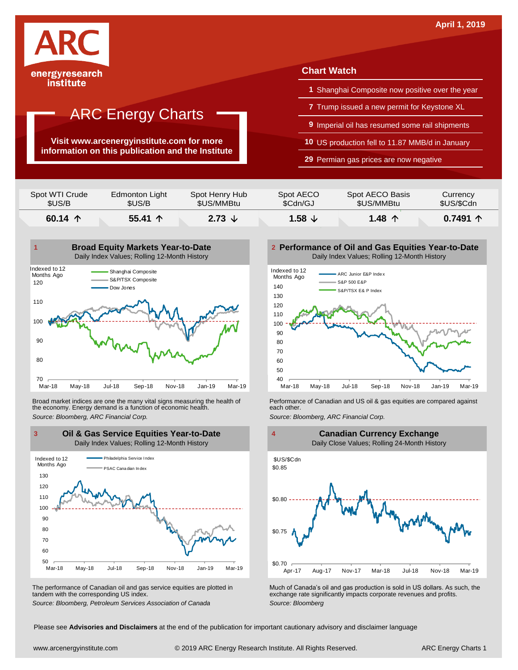

institute

### ARC Energy Charts

**Visit www.arcenergyinstitute.com for more information on this publication and the Institute**

### **Chart Watch**

- **1** Shanghai Composite now positive over the year
- **7** Trump issued a new permit for Keystone XL
- **9** Imperial oil has resumed some rail shipments
- **10** US production fell to 11.87 MMB/d in January
- **29** Permian gas prices are now negative

| Spot WTI Crude   | Edmonton Light   | Spot Henry Hub | Spot AECO          | Spot AECO Basis | Currency   |
|------------------|------------------|----------------|--------------------|-----------------|------------|
| \$US/B           | \$US/B           | \$US/MMBtu     | \$Cdn/GJ           | \$US/MMBtu      | \$US/\$Cdn |
| 60.14 $\uparrow$ | 55.41 $\uparrow$ |                | $1.58 \tDownarrow$ | 1.48 个          |            |



Broad market indices are one the many vital signs measuring the health of the economy. Energy demand is a function of economic health. Broad market indices are one the many vital signs measuring the health of **Ferformance of Canadian and US oil & gas equities** are compared against the economy. Energy demand is a function of economic health.<br>The economy. E



The performance of Canadian oil and gas service equities are plotted in tandem with the corresponding US index.

**Performance of Oil and Gas Equities Year-to-Date** Daily Index Values; Rolling 12-Month History





The performance of Canadian oil and gas service equities are plotted in Much of Canada's oil and gas production is sold in US dollars. As such, the exchange rate significantly impacts corporate revenues and profits.<br>Source

Please see **Advisories and Disclaimers** at the end of the publication for important cautionary advisory and disclaimer language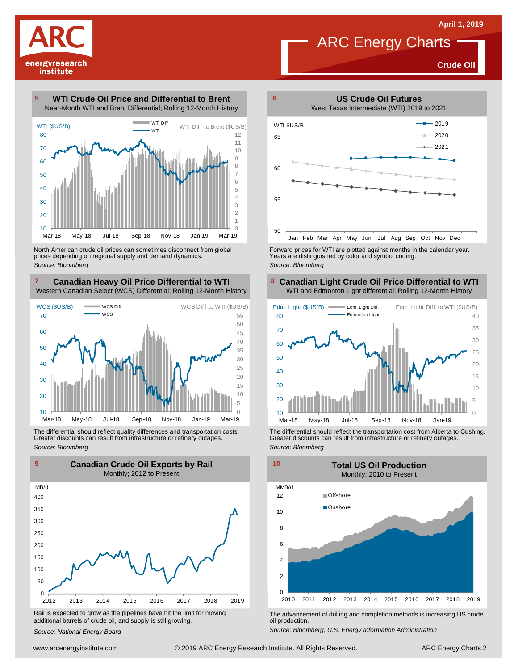**Crude Oil**

# energyresearch institute

#### **WTI Crude Oil Price and Differential to Brent** Near-Month WTI and Brent Differential; Rolling 12-Month History



North American crude oil prices can sometimes disconnect from global prices depending on regional supply and demand dynamics. *Source: Bloomberg*

#### **Canadian Heavy Oil Price Differential to WTI 8** Western Canadian Select (WCS) Differential; Rolling 12-Month History



The differential should reflect quality differences and transportation costs. Greater discounts can result from infrastructure or refinery outages. *Source: Bloomberg*



Rail is expected to grow as the pipelines have hit the limit for moving additional barrels of crude oil, and supply is still growing.

*Source: National Energy Board*



ARC Energy Charts

Forward prices for WTI are plotted against months in the calendar year. Years are distinguished by color and symbol coding. *Source: Bloomberg*

#### **Canadian Light Crude Oil Price Differential to WTI** WTI and Edmonton Light differential; Rolling 12-Month History



The differential should reflect the transportation cost from Alberta to Cushing. Greater discounts can result from infrastructure or refinery outages. *Source: Bloomberg*



The advancement of drilling and completion methods is increasing US crude oil production.

*Source: Bloomberg, U.S. Energy Information Administration*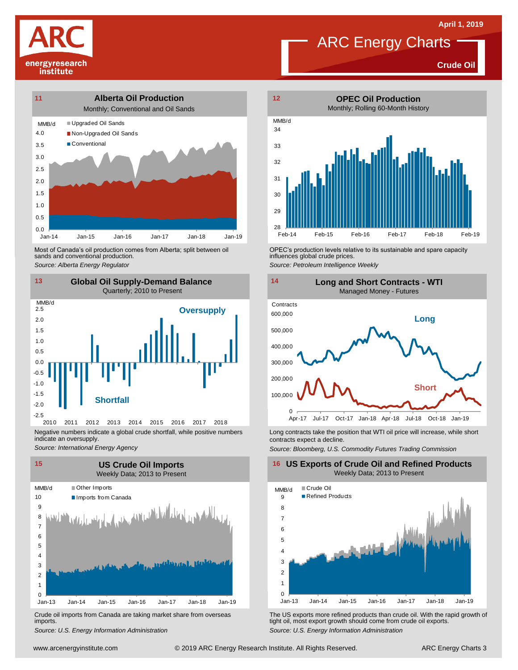



**Crude Oil**



Most of Canada's oil production comes from Alberta; split between oil sands and conventional production. Most of Canada's oil production comes from Alberta; split between oil **Source:** OPEC's production levels relative to its sustainable and spare capacity<br>
Source: Alberta *Energy Regulator*<br>
Source: Petroleum Intelligence We



indicate an oversupply. *Source: International Energy Agency*



Crude oil imports from Canada are taking market share from overseas imports.



influences global crude prices.

*Source: Petroleum Intelligence Weekly*

![](_page_2_Figure_14.jpeg)

Long contracts take the position that WTI oil price will increase, while short contracts expect a decline.

*Source: Bloomberg, U.S. Commodity Futures Trading Commission*

**16 US Exports of Crude Oil and Refined Products** Weekly Data; 2013 to Present

![](_page_2_Figure_18.jpeg)

Um-13 Jan-14 Jan-15 Jan-16 Jan-17 Jan-18 Jan-19<br>
Crude oil imports from Canada are taking market share from overseas<br>
Source: U.S. Energy Information Administration<br>
Source: U.S. Energy Information Administration<br>
Www.arce *S*rude oil imports from Canada are taking market share from overseas<br>
imports.<br>
Source: U.S. Energy Information Administration<br>
Source: U.S. Energy Information Administration tight oil, most export growth should come from crude oil exports. *Source: U.S. Energy Information Administration*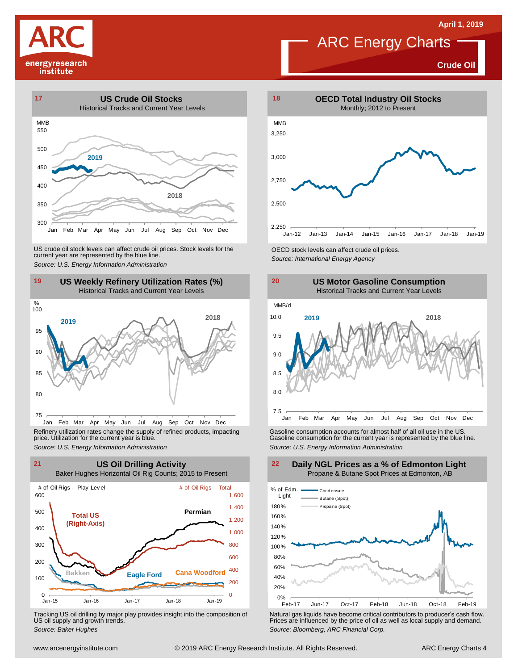![](_page_3_Picture_1.jpeg)

![](_page_3_Figure_2.jpeg)

**Crude Oil**

![](_page_3_Figure_4.jpeg)

![](_page_3_Figure_6.jpeg)

Jan Feb Mar Apr May Jun Jul Aug Sep Oct Nov Dec Refinery utilization rates change the supply of refined products, impacting price. Utilization for the current year is blue.

![](_page_3_Figure_8.jpeg)

Tracking US oil drilling by major play provides insight into the composition of US oil supply and growth trends.

![](_page_3_Figure_10.jpeg)

![](_page_3_Figure_12.jpeg)

Refinery utilization rates change the supply of refined products, impacting<br>
price. Utilization for the current year is blue.<br>
Source: U.S. Energy Information Administration<br>
Source: U.S. Energy Information Administration<br>

![](_page_3_Figure_14.jpeg)

Tracking US oil drilling by major play provides insight into the composition of<br>US oil supply and growth trends.<br>Source: Baker Hughes<br>Source: Baker Hughes

![](_page_3_Figure_16.jpeg)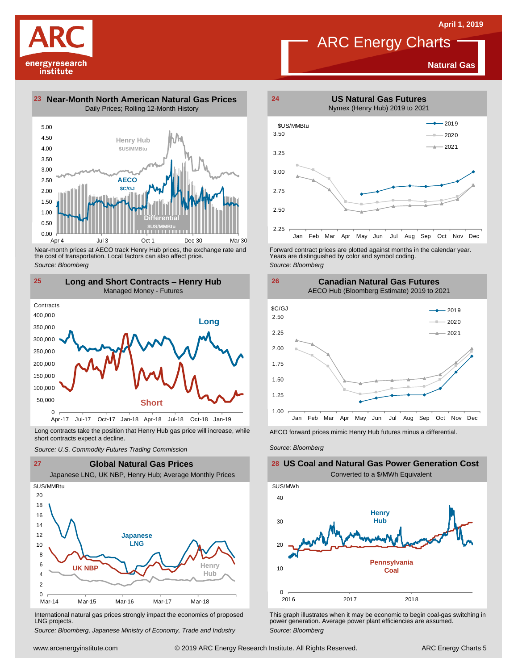energyresearch

institute

**Natural Gas**

**23 Near-Month North American Natural Gas Prices 24** Daily Prices; Rolling 12-Month History

![](_page_4_Figure_5.jpeg)

Near-month prices at AECO track Henry Hub prices, the exchange rate and the cost of transportation. Local factors can also affect price. *Source: Bloomberg*

![](_page_4_Figure_7.jpeg)

Long contracts take the position that Henry Hub gas price will increase, while short contracts expect a decline. *Source: U.S. Commodity Futures Trading Commission* AECO forward prices mimic Henry Hub futures minus <sup>a</sup> differential. *Source: Bloomberg*

![](_page_4_Figure_10.jpeg)

International natural gas prices strongly impact the economics of proposed LNG projects.

*Source: Bloomberg, Japanese Ministry of Economy, Trade and Industry*

![](_page_4_Figure_13.jpeg)

Forward contract prices are plotted against months in the calendar year.<br>Years are distinguished by color and symbol coding. *Source: Bloomberg*

![](_page_4_Figure_15.jpeg)

![](_page_4_Figure_16.jpeg)

![](_page_4_Figure_19.jpeg)

This graph illustrates when it may be economic to begin coal-gas switching in power generation. Average power plant efficiencies are assumed. *Source: Bloomberg*

2016 2017 2018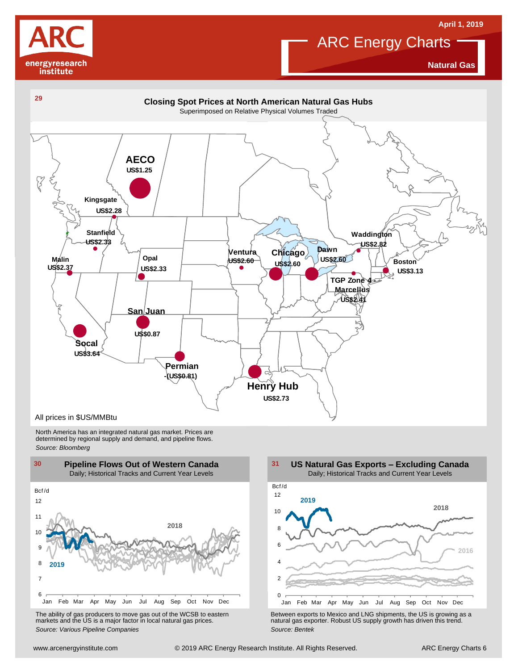![](_page_5_Picture_0.jpeg)

![](_page_5_Picture_1.jpeg)

**Natural Gas**

![](_page_5_Figure_4.jpeg)

North America has an integrated natural gas market. Prices are determined by regional supply and demand, and pipeline flows. *Source: Bloomberg*

![](_page_5_Figure_6.jpeg)

The ability of gas producers to move gas out of the WCSB to eastern markets and the US is <sup>a</sup> major factor in local natural gas prices.

2 4 6 8 10 12 Bcf /d **US Natural Gas Exports – Excluding Canada** Daily; Historical Tracks and Current Year Levels **2018 2016 2019**

Using the Marting of the Way Jun Juli Augusta Control of the WCSB to eastern<br>
The ability of gas producers to move gas out of the WCSB to eastern<br>
markets and the US is a major factor in local natural gas prices.<br>
Source: Jan Feb Mar Apr May Jun Jul Aug Sep Oct Nov Dec The ability of gas producers to move gas out of the WCSB to eastern<br>
markets and the US is a major factor in local natural gas prices.<br>
Source: Various Pipeline Companies<br>
Source: Bentek<br>
Source: Bentek<br>
Source: Bentek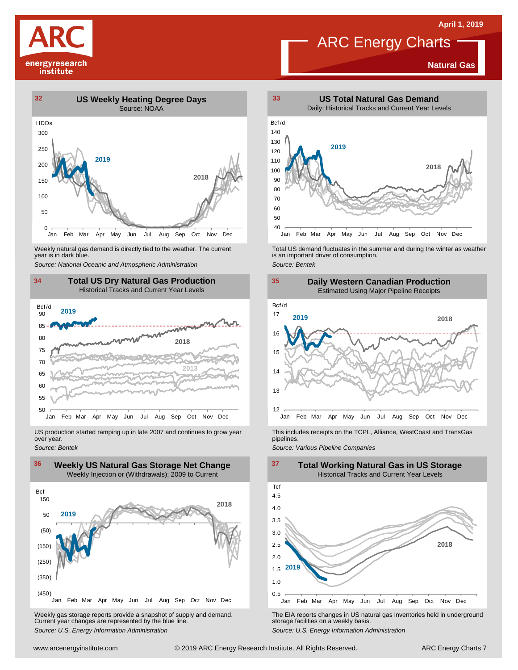![](_page_6_Picture_1.jpeg)

#### **Natural Gas**

![](_page_6_Figure_4.jpeg)

Weekly natural gas demand is directly tied to the weather. The current<br>year is in dark blue.

![](_page_6_Figure_7.jpeg)

US production started ramping up in late 2007 and continues to grow year over year. *Source: Bentek*

![](_page_6_Figure_9.jpeg)

Weekly gas storage reports provide <sup>a</sup> snapshot of supply and demand. Current year changes are represented by the blue line. Weekly gas storage reports provide a snapshot of supply and demand.<br>
The EIA reports changes in US natural gas inventories held in underground<br>
Source: U.S. Energy Information Administration<br>
Source: U.S. Energy Informatio

![](_page_6_Figure_11.jpeg)

Weekly natural gas demand is directly tied to the weather. The current<br>year is in dark blue.<br>Source: National Oceanic and Atmospheric Administration<br>Source: Bentek<br>Source: Bentek

![](_page_6_Figure_13.jpeg)

This includes receipts on the TCPL, Alliance, WestCoast and TransGas pipelines.

*Source: Various Pipeline Companies*

![](_page_6_Figure_16.jpeg)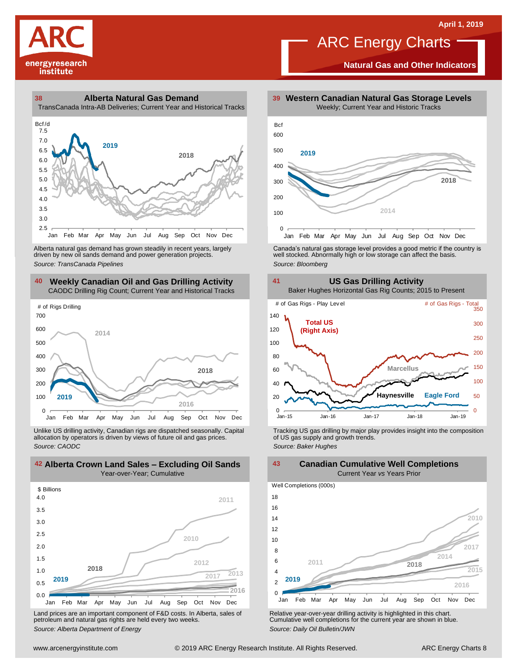![](_page_7_Picture_1.jpeg)

**Natural Gas and Other Indicators**

![](_page_7_Figure_4.jpeg)

Jan Feb Mar Apr May Jun Jul Aug Sep Oct Nov Dec

driven by new oil sands demand and power generation projects.

#### **40 41 Weekly Canadian Oil and Gas Drilling Activity** CAODC Drilling Rig Count; Current Year and Historical Tracks

![](_page_7_Figure_8.jpeg)

Unlike US drilling activity, Canadian rigs are dispatched seasonally. Capital allocation by operators is driven by views of future oil and gas prices. *Source: CAODC*

![](_page_7_Figure_10.jpeg)

Land prices are an important component of F&D costs. In Alberta, sales of petroleum and natural gas rights are held every two weeks. *Source: Alberta Department of Energy*

![](_page_7_Figure_12.jpeg)

Alberta natural gas demand has grown steadily in recent years, largely **canada's natural gas storage level provid**es a good metric if the country is driven by new oil sands demand and power generation projects.<br>And the sto

![](_page_7_Figure_14.jpeg)

Tracking US gas drilling by major play provides insight into the composition of US gas supply and growth trends. *Source: Baker Hughes*

**Canadian Cumulative Well Completions**

**2018 2010 2011 2014**  $\Omega$ 2 4 6 8 10 12 14 16 18 Jan Feb Mar Apr May Jun Jul Aug Sep Oct Nov Dec Well Completions (000s) Current Year *vs* Years Prior **2016 2015 2019 2017**

Relative year-over-year drilling activity is highlighted in this chart. Cumulative well completions for the current year are shown in blue. *Source: Daily Oil Bulletin/JWN*

### **42 43 Alberta Crown Land Sales – Excluding Oil Sands** Year-over-Year; Cumulative